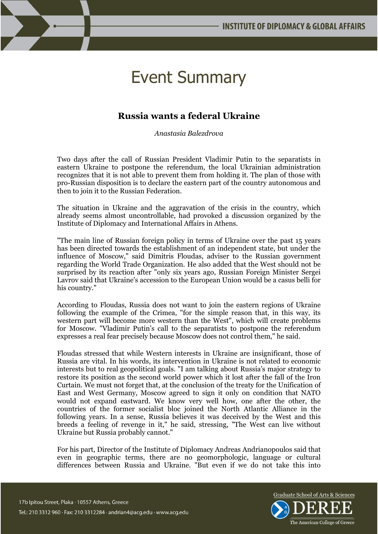## Event Summary

## **Russia wants a federal Ukraine**

*Anastasia Balezdrova*

Two days after the call of Russian President Vladimir Putin to the separatists in eastern Ukraine to postpone the referendum, the local Ukrainian administration recognizes that it is not able to prevent them from holding it. The plan of those with pro-Russian disposition is to declare the eastern part of the country autonomous and then to join it to the Russian Federation.

The situation in Ukraine and the aggravation of the crisis in the country, which already seems almost uncontrollable, had provoked a discussion organized by the Institute of Diplomacy and International Affairs in Athens.

"The main line of Russian foreign policy in terms of Ukraine over the past 15 years has been directed towards the establishment of an independent state, but under the influence of Moscow," said Dimitris Floudas, adviser to the Russian government regarding the World Trade Organization. He also added that the West should not be surprised by its reaction after "only six years ago, Russian Foreign Minister Sergei Lavrov said that Ukraine's accession to the European Union would be a casus belli for his country."

According to Floudas, Russia does not want to join the eastern regions of Ukraine following the example of the Crimea, "for the simple reason that, in this way, its western part will become more western than the West", which will create problems for Moscow. "Vladimir Putin's call to the separatists to postpone the referendum expresses a real fear precisely because Moscow does not control them," he said.

Floudas stressed that while Western interests in Ukraine are insignificant, those of Russia are vital. In his words, its intervention in Ukraine is not related to economic interests but to real geopolitical goals. "I am talking about Russia's major strategy to restore its position as the second world power which it lost after the fall of the Iron Curtain. We must not forget that, at the conclusion of the treaty for the Unification of East and West Germany, Moscow agreed to sign it only on condition that NATO would not expand eastward. We know very well how, one after the other, the countries of the former socialist bloc joined the North Atlantic Alliance in the following years. In a sense, Russia believes it was deceived by the West and this breeds a feeling of revenge in it," he said, stressing, "The West can live without Ukraine but Russia probably cannot."

For his part, Director of the Institute of Diplomacy Andreas Andrianopoulos said that even in geographic terms, there are no geomorphologic, language or cultural differences between Russia and Ukraine. "But even if we do not take this into